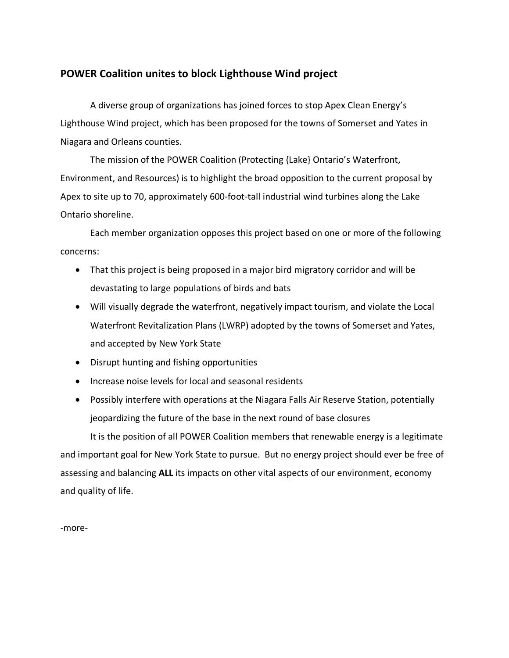## **POWER Coalition unites to block Lighthouse Wind project**

A diverse group of organizations has joined forces to stop Apex Clean Energy's Lighthouse Wind project, which has been proposed for the towns of Somerset and Yates in Niagara and Orleans counties.

The mission of the POWER Coalition (Protecting {Lake} Ontario's Waterfront, Environment, and Resources) is to highlight the broad opposition to the current proposal by Apex to site up to 70, approximately 600-foot-tall industrial wind turbines along the Lake Ontario shoreline.

Each member organization opposes this project based on one or more of the following concerns:

- That this project is being proposed in a major bird migratory corridor and will be devastating to large populations of birds and bats
- Will visually degrade the waterfront, negatively impact tourism, and violate the Local Waterfront Revitalization Plans (LWRP) adopted by the towns of Somerset and Yates, and accepted by New York State
- Disrupt hunting and fishing opportunities
- Increase noise levels for local and seasonal residents
- Possibly interfere with operations at the Niagara Falls Air Reserve Station, potentially jeopardizing the future of the base in the next round of base closures

It is the position of all POWER Coalition members that renewable energy is a legitimate and important goal for New York State to pursue. But no energy project should ever be free of assessing and balancing **ALL** its impacts on other vital aspects of our environment, economy and quality of life.

-more-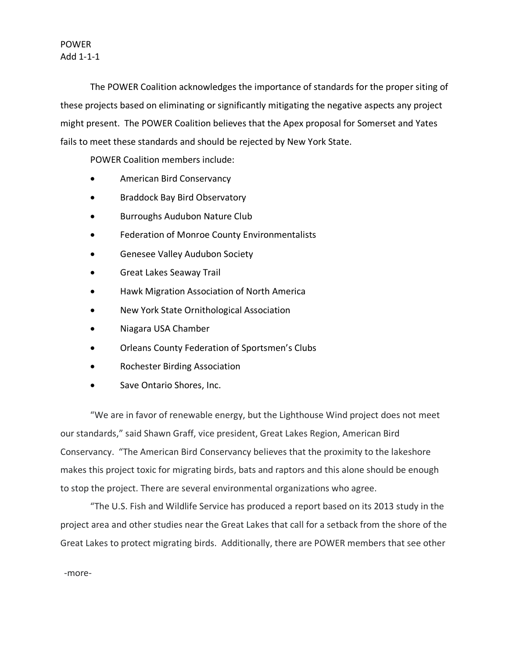## POWER Add 1-1-1

The POWER Coalition acknowledges the importance of standards for the proper siting of these projects based on eliminating or significantly mitigating the negative aspects any project might present. The POWER Coalition believes that the Apex proposal for Somerset and Yates fails to meet these standards and should be rejected by New York State.

POWER Coalition members include:

- American Bird Conservancy
- Braddock Bay Bird Observatory
- Burroughs Audubon Nature Club
- Federation of Monroe County Environmentalists
- Genesee Valley Audubon Society
- Great Lakes Seaway Trail
- Hawk Migration Association of North America
- New York State Ornithological Association
- Niagara USA Chamber
- Orleans County Federation of Sportsmen's Clubs
- Rochester Birding Association
- Save Ontario Shores, Inc.

"We are in favor of renewable energy, but the Lighthouse Wind project does not meet our standards," said Shawn Graff, vice president, Great Lakes Region, American Bird Conservancy. "The American Bird Conservancy believes that the proximity to the lakeshore makes this project toxic for migrating birds, bats and raptors and this alone should be enough to stop the project. There are several environmental organizations who agree.

"The U.S. Fish and Wildlife Service has produced a report based on its 2013 study in the project area and other studies near the Great Lakes that call for a setback from the shore of the Great Lakes to protect migrating birds. Additionally, there are POWER members that see other

-more-